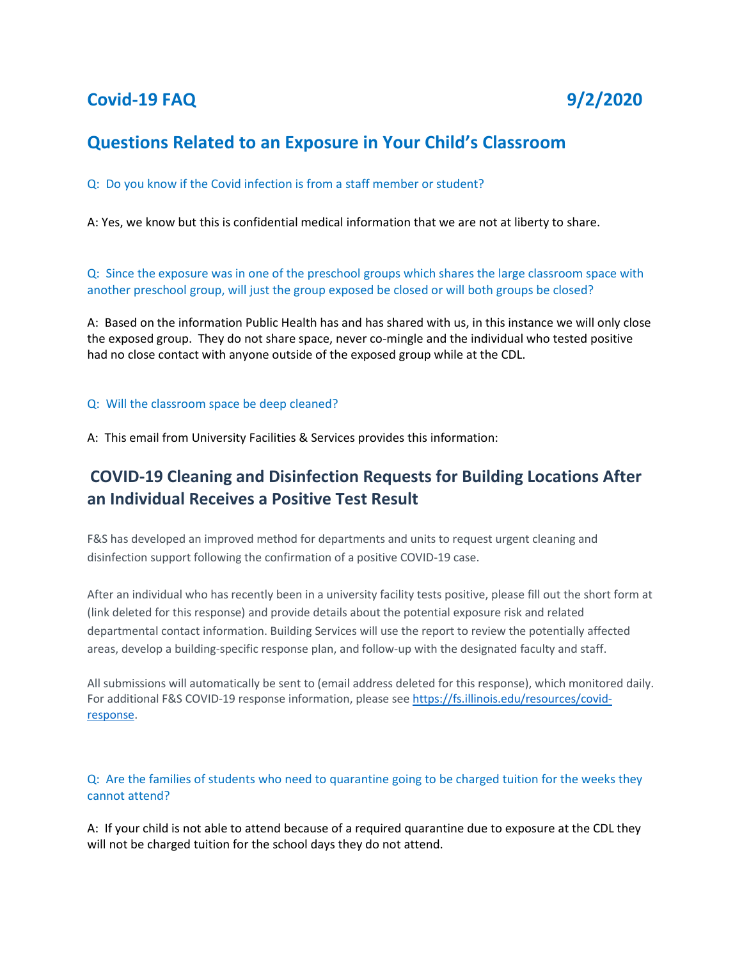# **Covid-19 FAQ 9/2/2020**

## **Questions Related to an Exposure in Your Child's Classroom**

Q: Do you know if the Covid infection is from a staff member or student?

A: Yes, we know but this is confidential medical information that we are not at liberty to share.

Q: Since the exposure was in one of the preschool groups which shares the large classroom space with another preschool group, will just the group exposed be closed or will both groups be closed?

A: Based on the information Public Health has and has shared with us, in this instance we will only close the exposed group. They do not share space, never co-mingle and the individual who tested positive had no close contact with anyone outside of the exposed group while at the CDL.

#### Q: Will the classroom space be deep cleaned?

A: This email from University Facilities & Services provides this information:

# **COVID-19 Cleaning and Disinfection Requests for Building Locations After an Individual Receives a Positive Test Result**

F&S has developed an improved method for departments and units to request urgent cleaning and disinfection support following the confirmation of a positive COVID-19 case.

After an individual who has recently been in a university facility tests positive, please fill out the short form at (link deleted for this response) and provide details about the potential exposure risk and related departmental contact information. Building Services will use the report to review the potentially affected areas, develop a building-specific response plan, and follow-up with the designated faculty and staff.

All submissions will automatically be sent to (email address deleted for this response), which monitored daily. For additional F&S COVID-19 response information, please se[e https://fs.illinois.edu/resources/covid](https://fs.illinois.edu/resources/covid-response)[response.](https://fs.illinois.edu/resources/covid-response)

Q: Are the families of students who need to quarantine going to be charged tuition for the weeks they cannot attend?

A: If your child is not able to attend because of a required quarantine due to exposure at the CDL they will not be charged tuition for the school days they do not attend.